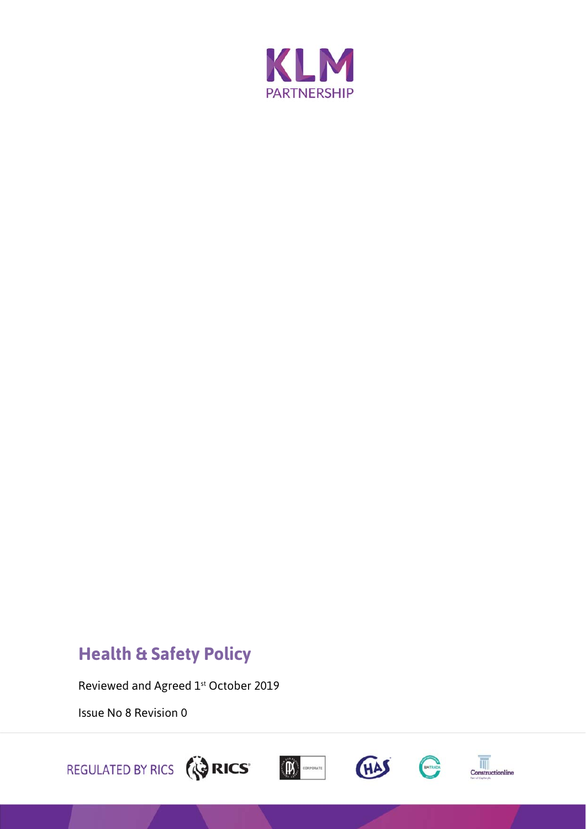

## **Health & Safety Policy**

Reviewed and Agreed 1st October 2019

Issue No 8 Revision 0